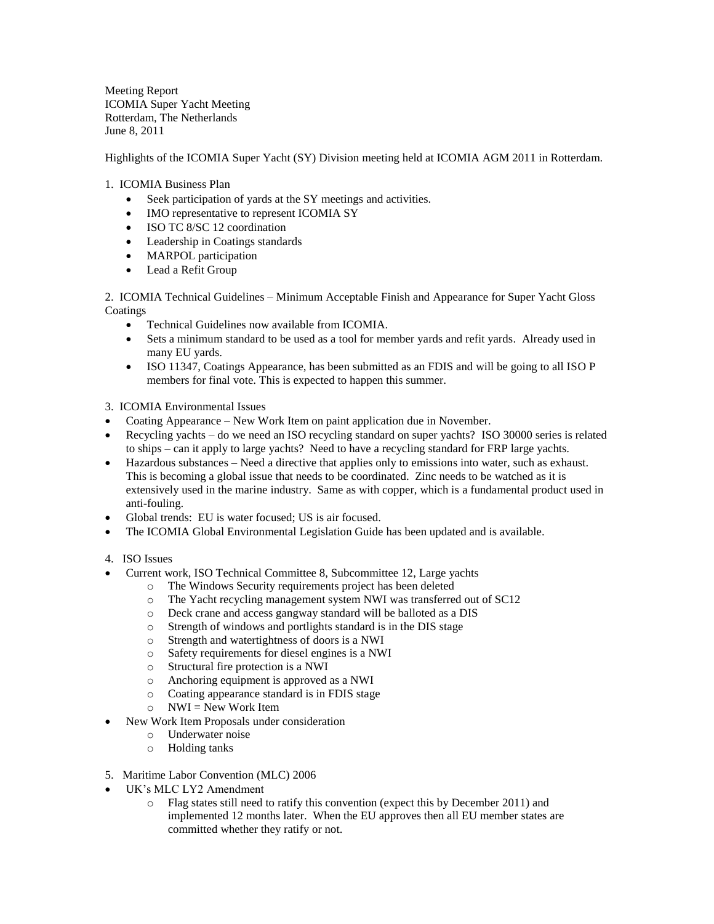Meeting Report ICOMIA Super Yacht Meeting Rotterdam, The Netherlands June 8, 2011

Highlights of the ICOMIA Super Yacht (SY) Division meeting held at ICOMIA AGM 2011 in Rotterdam.

## 1. ICOMIA Business Plan

- Seek participation of yards at the SY meetings and activities.
- IMO representative to represent ICOMIA SY
- ISO TC 8/SC 12 coordination
- Leadership in Coatings standards
- MARPOL participation
- Lead a Refit Group

2. ICOMIA Technical Guidelines – Minimum Acceptable Finish and Appearance for Super Yacht Gloss **Coatings** 

- Technical Guidelines now available from ICOMIA
- Sets a minimum standard to be used as a tool for member yards and refit yards. Already used in many EU yards.
- ISO 11347, Coatings Appearance, has been submitted as an FDIS and will be going to all ISO P members for final vote. This is expected to happen this summer.

3. ICOMIA Environmental Issues

- Coating Appearance New Work Item on paint application due in November.
- Recycling yachts do we need an ISO recycling standard on super yachts? ISO 30000 series is related to ships – can it apply to large yachts? Need to have a recycling standard for FRP large yachts.
- Hazardous substances Need a directive that applies only to emissions into water, such as exhaust. This is becoming a global issue that needs to be coordinated. Zinc needs to be watched as it is extensively used in the marine industry. Same as with copper, which is a fundamental product used in anti-fouling.
- Global trends: EU is water focused; US is air focused.
- The ICOMIA Global Environmental Legislation Guide has been updated and is available.
- 4. ISO Issues
- Current work, ISO Technical Committee 8, Subcommittee 12, Large yachts
	- o The Windows Security requirements project has been deleted
	- o The Yacht recycling management system NWI was transferred out of SC12
	- o Deck crane and access gangway standard will be balloted as a DIS
	- o Strength of windows and portlights standard is in the DIS stage
	- o Strength and watertightness of doors is a NWI
	- o Safety requirements for diesel engines is a NWI
	- o Structural fire protection is a NWI
	- o Anchoring equipment is approved as a NWI
	- o Coating appearance standard is in FDIS stage
	- $\circ$  NWI = New Work Item
- New Work Item Proposals under consideration
	- o Underwater noise
	- o Holding tanks
- 5. Maritime Labor Convention (MLC) 2006
- UK's MLC LY2 Amendment
	- o Flag states still need to ratify this convention (expect this by December 2011) and implemented 12 months later. When the EU approves then all EU member states are committed whether they ratify or not.